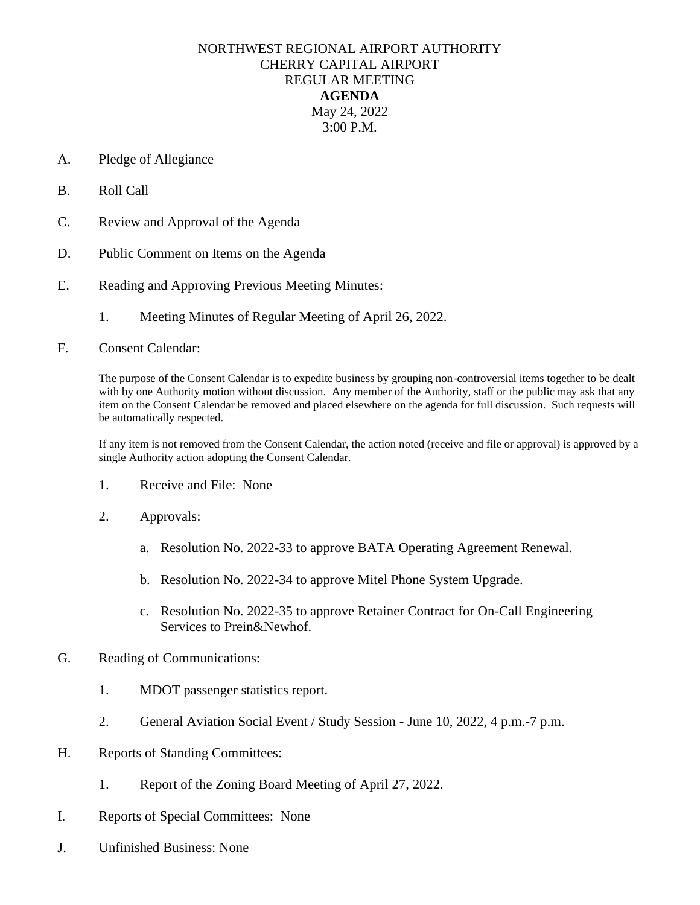## NORTHWEST REGIONAL AIRPORT AUTHORITY CHERRY CAPITAL AIRPORT REGULAR MEETING **AGENDA** May 24, 2022 3:00 P.M.

- A. Pledge of Allegiance
- B. Roll Call
- C. Review and Approval of the Agenda
- D. Public Comment on Items on the Agenda
- E. Reading and Approving Previous Meeting Minutes:
	- 1. Meeting Minutes of Regular Meeting of April 26, 2022.
- F. Consent Calendar:

The purpose of the Consent Calendar is to expedite business by grouping non-controversial items together to be dealt with by one Authority motion without discussion. Any member of the Authority, staff or the public may ask that any item on the Consent Calendar be removed and placed elsewhere on the agenda for full discussion. Such requests will be automatically respected.

If any item is not removed from the Consent Calendar, the action noted (receive and file or approval) is approved by a single Authority action adopting the Consent Calendar.

- 1. Receive and File: None
- 2. Approvals:
	- a. Resolution No. 2022-33 to approve BATA Operating Agreement Renewal.
	- b. Resolution No. 2022-34 to approve Mitel Phone System Upgrade.
	- c. Resolution No. 2022-35 to approve Retainer Contract for On-Call Engineering Services to Prein&Newhof.
- G. Reading of Communications:
	- 1. MDOT passenger statistics report.
	- 2. General Aviation Social Event / Study Session June 10, 2022, 4 p.m.-7 p.m.
- H. Reports of Standing Committees:
	- 1. Report of the Zoning Board Meeting of April 27, 2022.
- I. Reports of Special Committees: None
- J. Unfinished Business: None